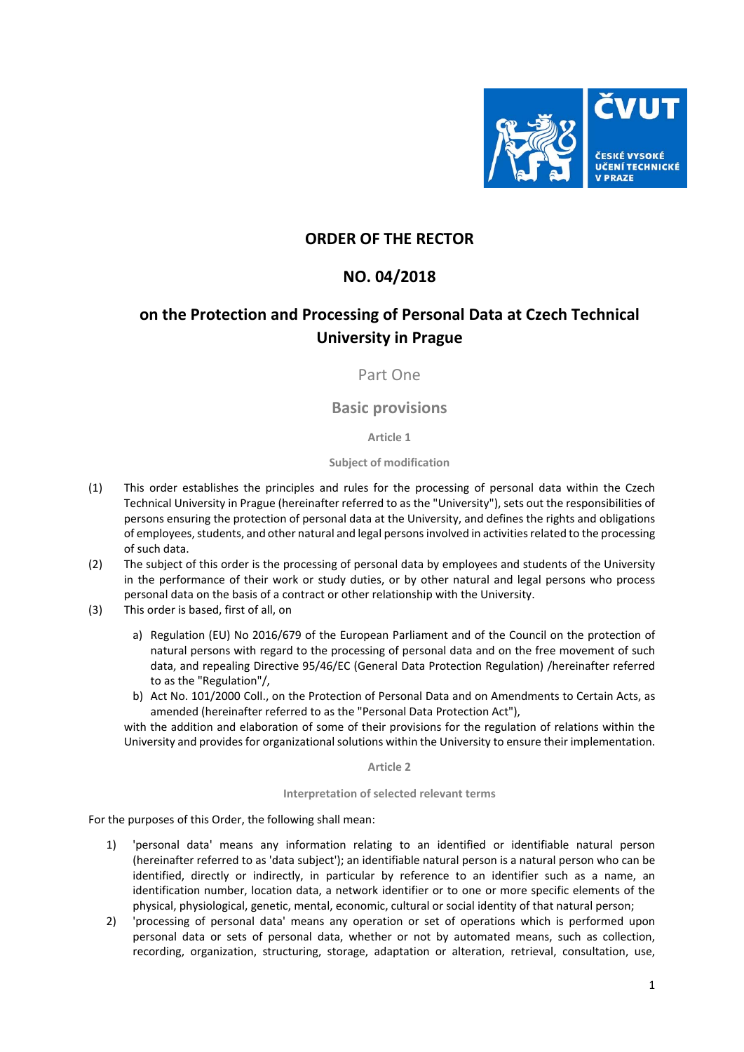

# **ORDER OF THE RECTOR**

# **NO. 04/2018**

# **on the Protection and Processing of Personal Data at Czech Technical University in Prague**

Part One

## **Basic provisions**

**Article 1** 

**Subject of modification** 

- (1) This order establishes the principles and rules for the processing of personal data within the Czech Technical University in Prague (hereinafter referred to as the "University"), sets out the responsibilities of persons ensuring the protection of personal data at the University, and defines the rights and obligations of employees, students, and other natural and legal persons involved in activities related to the processing of such data.
- (2) The subject of this order is the processing of personal data by employees and students of the University in the performance of their work or study duties, or by other natural and legal persons who process personal data on the basis of a contract or other relationship with the University.
- (3) This order is based, first of all, on
	- a) Regulation (EU) No 2016/679 of the European Parliament and of the Council on the protection of natural persons with regard to the processing of personal data and on the free movement of such data, and repealing Directive 95/46/EC (General Data Protection Regulation) /hereinafter referred to as the "Regulation"/,
	- b) Act No. 101/2000 Coll., on the Protection of Personal Data and on Amendments to Certain Acts, as amended (hereinafter referred to as the "Personal Data Protection Act"),

with the addition and elaboration of some of their provisions for the regulation of relations within the University and provides for organizational solutions within the University to ensure their implementation.

**Article 2** 

### **Interpretation of selected relevant terms**

For the purposes of this Order, the following shall mean:

- 1) 'personal data' means any information relating to an identified or identifiable natural person (hereinafter referred to as 'data subject'); an identifiable natural person is a natural person who can be identified, directly or indirectly, in particular by reference to an identifier such as a name, an identification number, location data, a network identifier or to one or more specific elements of the physical, physiological, genetic, mental, economic, cultural or social identity of that natural person;
- 2) 'processing of personal data' means any operation or set of operations which is performed upon personal data or sets of personal data, whether or not by automated means, such as collection, recording, organization, structuring, storage, adaptation or alteration, retrieval, consultation, use,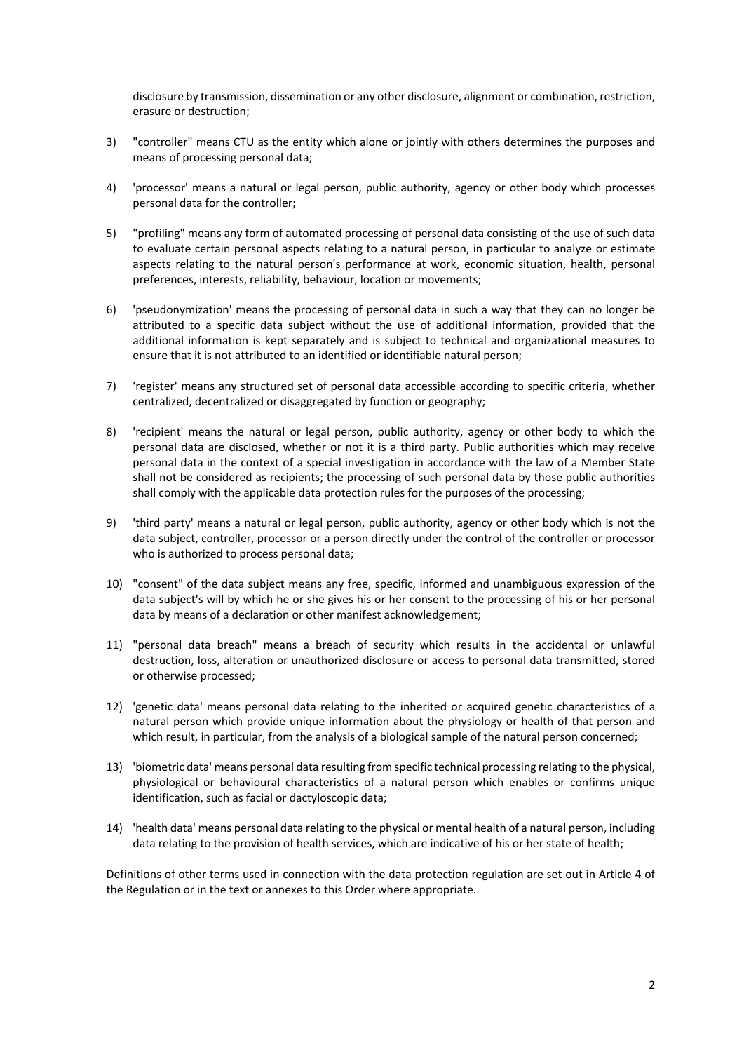disclosure by transmission, dissemination or any other disclosure, alignment or combination, restriction, erasure or destruction;

- 3) "controller" means CTU as the entity which alone or jointly with others determines the purposes and means of processing personal data;
- 4) 'processor' means a natural or legal person, public authority, agency or other body which processes personal data for the controller;
- 5) "profiling" means any form of automated processing of personal data consisting of the use of such data to evaluate certain personal aspects relating to a natural person, in particular to analyze or estimate aspects relating to the natural person's performance at work, economic situation, health, personal preferences, interests, reliability, behaviour, location or movements;
- 6) 'pseudonymization' means the processing of personal data in such a way that they can no longer be attributed to a specific data subject without the use of additional information, provided that the additional information is kept separately and is subject to technical and organizational measures to ensure that it is not attributed to an identified or identifiable natural person;
- 7) 'register' means any structured set of personal data accessible according to specific criteria, whether centralized, decentralized or disaggregated by function or geography;
- 8) 'recipient' means the natural or legal person, public authority, agency or other body to which the personal data are disclosed, whether or not it is a third party. Public authorities which may receive personal data in the context of a special investigation in accordance with the law of a Member State shall not be considered as recipients; the processing of such personal data by those public authorities shall comply with the applicable data protection rules for the purposes of the processing;
- 9) 'third party' means a natural or legal person, public authority, agency or other body which is not the data subject, controller, processor or a person directly under the control of the controller or processor who is authorized to process personal data;
- 10) "consent" of the data subject means any free, specific, informed and unambiguous expression of the data subject's will by which he or she gives his or her consent to the processing of his or her personal data by means of a declaration or other manifest acknowledgement;
- 11) "personal data breach" means a breach of security which results in the accidental or unlawful destruction, loss, alteration or unauthorized disclosure or access to personal data transmitted, stored or otherwise processed;
- 12) 'genetic data' means personal data relating to the inherited or acquired genetic characteristics of a natural person which provide unique information about the physiology or health of that person and which result, in particular, from the analysis of a biological sample of the natural person concerned;
- 13) 'biometric data' means personal data resulting from specific technical processing relating to the physical, physiological or behavioural characteristics of a natural person which enables or confirms unique identification, such as facial or dactyloscopic data;
- 14) 'health data' means personal data relating to the physical or mental health of a natural person, including data relating to the provision of health services, which are indicative of his or her state of health;

Definitions of other terms used in connection with the data protection regulation are set out in Article 4 of the Regulation or in the text or annexes to this Order where appropriate.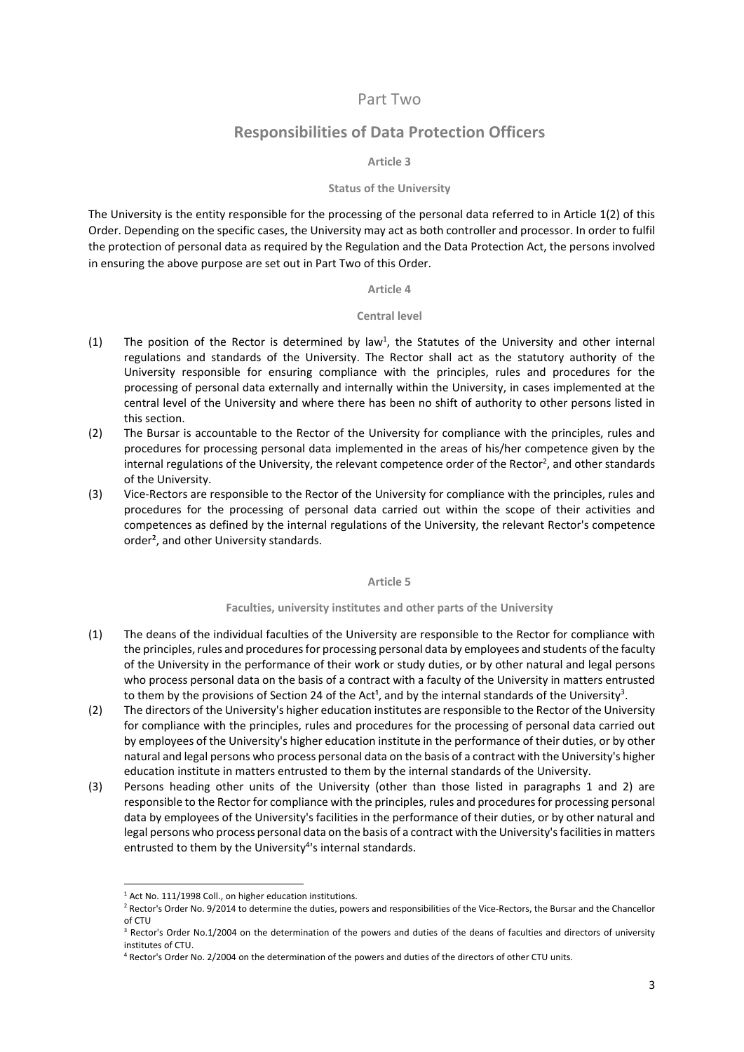### Part Two

### **Responsibilities of Data Protection Officers**

### **Article 3**

#### **Status of the University**

The University is the entity responsible for the processing of the personal data referred to in Article 1(2) of this Order. Depending on the specific cases, the University may act as both controller and processor. In order to fulfil the protection of personal data as required by the Regulation and the Data Protection Act, the persons involved in ensuring the above purpose are set out in Part Two of this Order.

#### **Article 4**

#### **Central level**

- $(1)$  The position of the Rector is determined by law<sup>1</sup>, the Statutes of the University and other internal regulations and standards of the University. The Rector shall act as the statutory authority of the University responsible for ensuring compliance with the principles, rules and procedures for the processing of personal data externally and internally within the University, in cases implemented at the central level of the University and where there has been no shift of authority to other persons listed in this section.
- (2) The Bursar is accountable to the Rector of the University for compliance with the principles, rules and procedures for processing personal data implemented in the areas of his/her competence given by the internal regulations of the University, the relevant competence order of the Rector<sup>2</sup>, and other standards of the University.
- (3) Vice‐Rectors are responsible to the Rector of the University for compliance with the principles, rules and procedures for the processing of personal data carried out within the scope of their activities and competences as defined by the internal regulations of the University, the relevant Rector's competence order<sup>2</sup>, and other University standards.

#### **Article 5**

#### **Faculties, university institutes and other parts of the University**

- (1) The deans of the individual faculties of the University are responsible to the Rector for compliance with the principles, rules and procedures for processing personal data by employees and students of the faculty of the University in the performance of their work or study duties, or by other natural and legal persons who process personal data on the basis of a contract with a faculty of the University in matters entrusted to them by the provisions of Section 24 of the Act<sup>1</sup>, and by the internal standards of the University<sup>3</sup>.
- (2) The directors of the University's higher education institutes are responsible to the Rector of the University for compliance with the principles, rules and procedures for the processing of personal data carried out by employees of the University's higher education institute in the performance of their duties, or by other natural and legal persons who process personal data on the basis of a contract with the University's higher education institute in matters entrusted to them by the internal standards of the University.
- (3) Persons heading other units of the University (other than those listed in paragraphs 1 and 2) are responsible to the Rector for compliance with the principles, rules and procedures for processing personal data by employees of the University's facilities in the performance of their duties, or by other natural and legal persons who process personal data on the basis of a contract with the University's facilities in matters entrusted to them by the University<sup>4</sup>'s internal standards.

<sup>&</sup>lt;u> 1989 - Johann Barbara, martxa alemaniar a</u> <sup>1</sup> Act No. 111/1998 Coll., on higher education institutions.

<sup>&</sup>lt;sup>2</sup> Rector's Order No. 9/2014 to determine the duties, powers and responsibilities of the Vice-Rectors, the Bursar and the Chancellor of CTU

<sup>&</sup>lt;sup>3</sup> Rector's Order No.1/2004 on the determination of the powers and duties of the deans of faculties and directors of university institutes of CTU.

<sup>4</sup> Rector's Order No. 2/2004 on the determination of the powers and duties of the directors of other CTU units.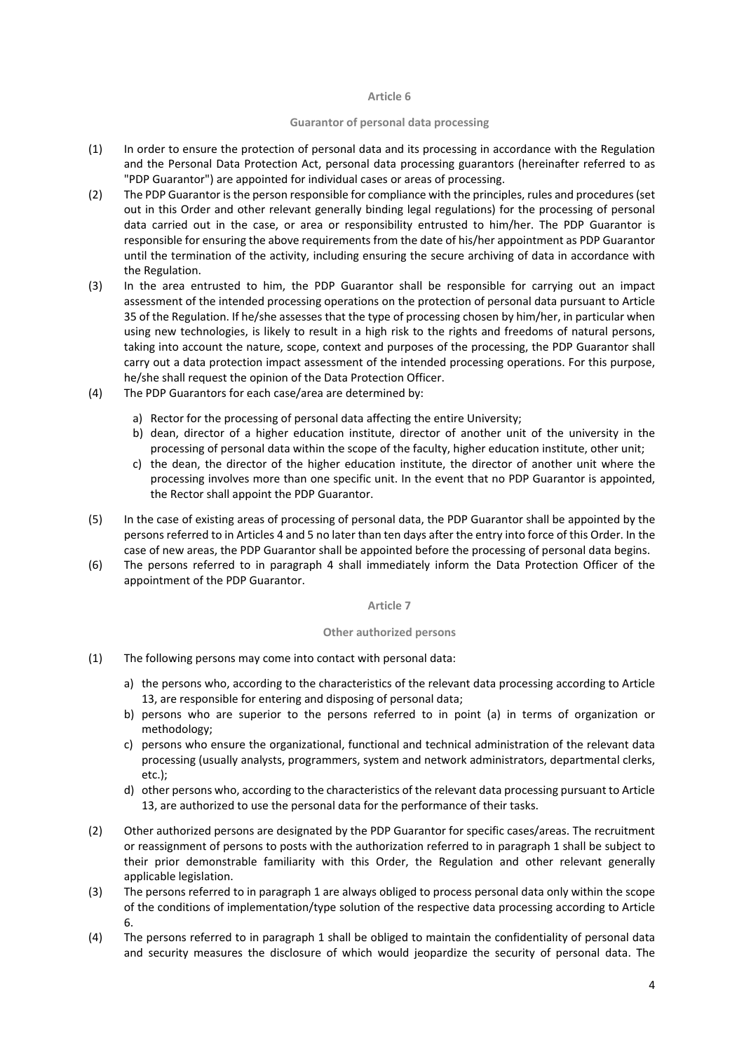#### **Article 6**

#### **Guarantor of personal data processing**

- (1) In order to ensure the protection of personal data and its processing in accordance with the Regulation and the Personal Data Protection Act, personal data processing guarantors (hereinafter referred to as "PDP Guarantor") are appointed for individual cases or areas of processing.
- (2) The PDP Guarantor is the person responsible for compliance with the principles, rules and procedures (set out in this Order and other relevant generally binding legal regulations) for the processing of personal data carried out in the case, or area or responsibility entrusted to him/her. The PDP Guarantor is responsible for ensuring the above requirements from the date of his/her appointment as PDP Guarantor until the termination of the activity, including ensuring the secure archiving of data in accordance with the Regulation.
- (3) In the area entrusted to him, the PDP Guarantor shall be responsible for carrying out an impact assessment of the intended processing operations on the protection of personal data pursuant to Article 35 of the Regulation. If he/she assesses that the type of processing chosen by him/her, in particular when using new technologies, is likely to result in a high risk to the rights and freedoms of natural persons, taking into account the nature, scope, context and purposes of the processing, the PDP Guarantor shall carry out a data protection impact assessment of the intended processing operations. For this purpose, he/she shall request the opinion of the Data Protection Officer.
- (4) The PDP Guarantors for each case/area are determined by:
	- a) Rector for the processing of personal data affecting the entire University;
	- b) dean, director of a higher education institute, director of another unit of the university in the processing of personal data within the scope of the faculty, higher education institute, other unit;
	- c) the dean, the director of the higher education institute, the director of another unit where the processing involves more than one specific unit. In the event that no PDP Guarantor is appointed, the Rector shall appoint the PDP Guarantor.
- (5) In the case of existing areas of processing of personal data, the PDP Guarantor shall be appointed by the persons referred to in Articles 4 and 5 no later than ten days after the entry into force of this Order. In the case of new areas, the PDP Guarantor shall be appointed before the processing of personal data begins.
- (6) The persons referred to in paragraph 4 shall immediately inform the Data Protection Officer of the appointment of the PDP Guarantor.

#### **Article 7**

#### **Other authorized persons**

- (1) The following persons may come into contact with personal data:
	- a) the persons who, according to the characteristics of the relevant data processing according to Article 13, are responsible for entering and disposing of personal data;
	- b) persons who are superior to the persons referred to in point (a) in terms of organization or methodology;
	- c) persons who ensure the organizational, functional and technical administration of the relevant data processing (usually analysts, programmers, system and network administrators, departmental clerks, etc.);
	- d) other persons who, according to the characteristics of the relevant data processing pursuant to Article 13, are authorized to use the personal data for the performance of their tasks.
- (2) Other authorized persons are designated by the PDP Guarantor for specific cases/areas. The recruitment or reassignment of persons to posts with the authorization referred to in paragraph 1 shall be subject to their prior demonstrable familiarity with this Order, the Regulation and other relevant generally applicable legislation.
- (3) The persons referred to in paragraph 1 are always obliged to process personal data only within the scope of the conditions of implementation/type solution of the respective data processing according to Article 6.
- (4) The persons referred to in paragraph 1 shall be obliged to maintain the confidentiality of personal data and security measures the disclosure of which would jeopardize the security of personal data. The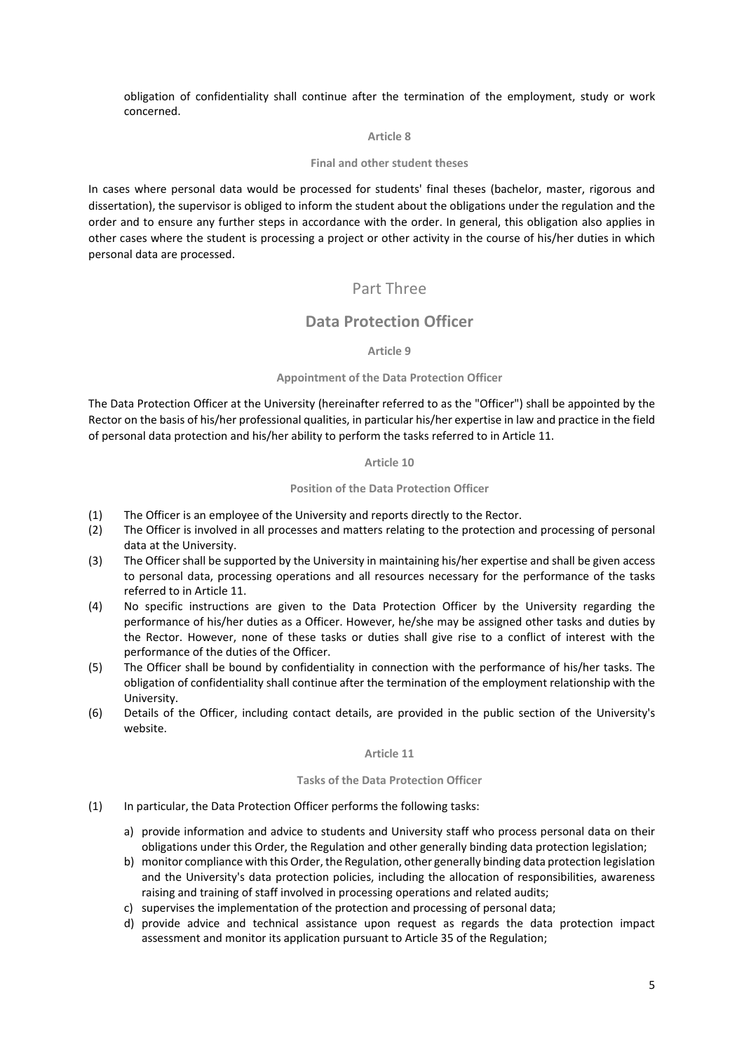obligation of confidentiality shall continue after the termination of the employment, study or work concerned.

### **Article 8**

### **Final and other student theses**

In cases where personal data would be processed for students' final theses (bachelor, master, rigorous and dissertation), the supervisor is obliged to inform the student about the obligations under the regulation and the order and to ensure any further steps in accordance with the order. In general, this obligation also applies in other cases where the student is processing a project or other activity in the course of his/her duties in which personal data are processed.

# Part Three

## **Data Protection Officer**

### **Article 9**

### **Appointment of the Data Protection Officer**

The Data Protection Officer at the University (hereinafter referred to as the "Officer") shall be appointed by the Rector on the basis of his/her professional qualities, in particular his/her expertise in law and practice in the field of personal data protection and his/her ability to perform the tasks referred to in Article 11.

### **Article 10**

### **Position of the Data Protection Officer**

- (1) The Officer is an employee of the University and reports directly to the Rector.
- (2) The Officer is involved in all processes and matters relating to the protection and processing of personal data at the University.
- (3) The Officer shall be supported by the University in maintaining his/her expertise and shall be given access to personal data, processing operations and all resources necessary for the performance of the tasks referred to in Article 11.
- (4) No specific instructions are given to the Data Protection Officer by the University regarding the performance of his/her duties as a Officer. However, he/she may be assigned other tasks and duties by the Rector. However, none of these tasks or duties shall give rise to a conflict of interest with the performance of the duties of the Officer.
- (5) The Officer shall be bound by confidentiality in connection with the performance of his/her tasks. The obligation of confidentiality shall continue after the termination of the employment relationship with the University.
- (6) Details of the Officer, including contact details, are provided in the public section of the University's website.

#### **Article 11**

#### **Tasks of the Data Protection Officer**

- (1) In particular, the Data Protection Officer performs the following tasks:
	- a) provide information and advice to students and University staff who process personal data on their obligations under this Order, the Regulation and other generally binding data protection legislation;
	- b) monitor compliance with this Order, the Regulation, other generally binding data protection legislation and the University's data protection policies, including the allocation of responsibilities, awareness raising and training of staff involved in processing operations and related audits;
	- c) supervises the implementation of the protection and processing of personal data;
	- d) provide advice and technical assistance upon request as regards the data protection impact assessment and monitor its application pursuant to Article 35 of the Regulation;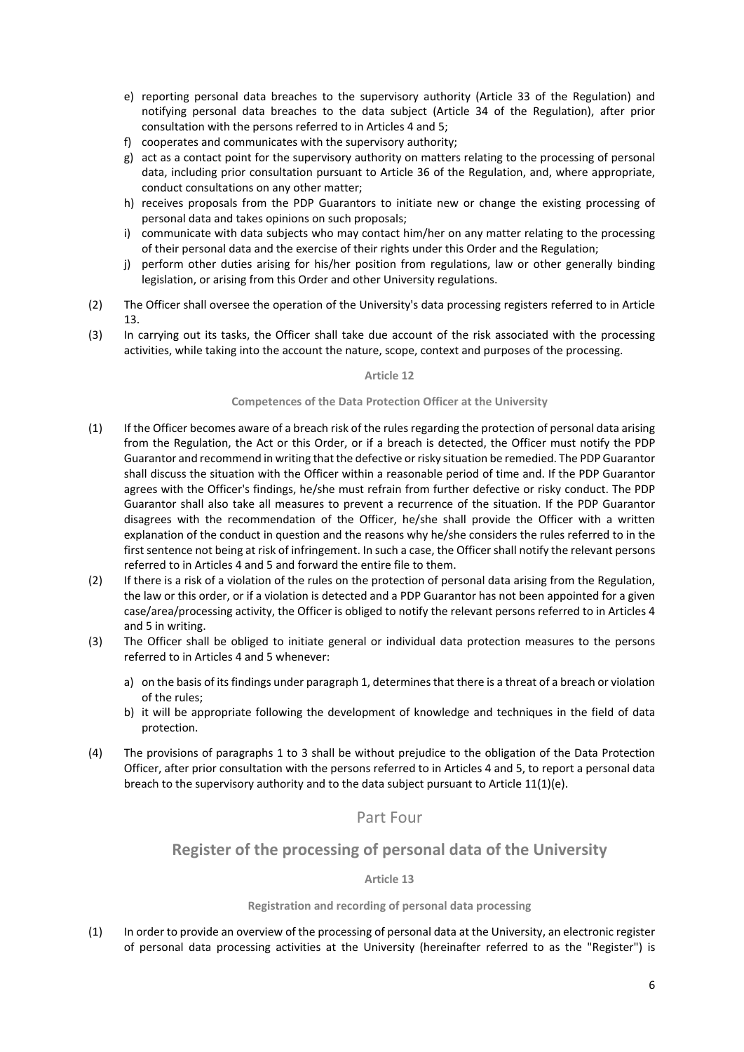- e) reporting personal data breaches to the supervisory authority (Article 33 of the Regulation) and notifying personal data breaches to the data subject (Article 34 of the Regulation), after prior consultation with the persons referred to in Articles 4 and 5;
- f) cooperates and communicates with the supervisory authority;
- g) act as a contact point for the supervisory authority on matters relating to the processing of personal data, including prior consultation pursuant to Article 36 of the Regulation, and, where appropriate, conduct consultations on any other matter;
- h) receives proposals from the PDP Guarantors to initiate new or change the existing processing of personal data and takes opinions on such proposals;
- i) communicate with data subjects who may contact him/her on any matter relating to the processing of their personal data and the exercise of their rights under this Order and the Regulation;
- j) perform other duties arising for his/her position from regulations, law or other generally binding legislation, or arising from this Order and other University regulations.
- (2) The Officer shall oversee the operation of the University's data processing registers referred to in Article 13.
- (3) In carrying out its tasks, the Officer shall take due account of the risk associated with the processing activities, while taking into the account the nature, scope, context and purposes of the processing.

### **Article 12**

### **Competences of the Data Protection Officer at the University**

- (1) If the Officer becomes aware of a breach risk of the rules regarding the protection of personal data arising from the Regulation, the Act or this Order, or if a breach is detected, the Officer must notify the PDP Guarantor and recommend in writing that the defective or risky situation be remedied. The PDP Guarantor shall discuss the situation with the Officer within a reasonable period of time and. If the PDP Guarantor agrees with the Officer's findings, he/she must refrain from further defective or risky conduct. The PDP Guarantor shall also take all measures to prevent a recurrence of the situation. If the PDP Guarantor disagrees with the recommendation of the Officer, he/she shall provide the Officer with a written explanation of the conduct in question and the reasons why he/she considers the rules referred to in the first sentence not being at risk of infringement. In such a case, the Officer shall notify the relevant persons referred to in Articles 4 and 5 and forward the entire file to them.
- (2) If there is a risk of a violation of the rules on the protection of personal data arising from the Regulation, the law or this order, or if a violation is detected and a PDP Guarantor has not been appointed for a given case/area/processing activity, the Officer is obliged to notify the relevant persons referred to in Articles 4 and 5 in writing.
- (3) The Officer shall be obliged to initiate general or individual data protection measures to the persons referred to in Articles 4 and 5 whenever:
	- a) on the basis of its findings under paragraph 1, determines that there is a threat of a breach or violation of the rules;
	- b) it will be appropriate following the development of knowledge and techniques in the field of data protection.
- (4) The provisions of paragraphs 1 to 3 shall be without prejudice to the obligation of the Data Protection Officer, after prior consultation with the persons referred to in Articles 4 and 5, to report a personal data breach to the supervisory authority and to the data subject pursuant to Article  $11(1)(e)$ .

### Part Four

### **Register of the processing of personal data of the University**

**Article 13** 

### **Registration and recording of personal data processing**

(1) In order to provide an overview of the processing of personal data at the University, an electronic register of personal data processing activities at the University (hereinafter referred to as the "Register") is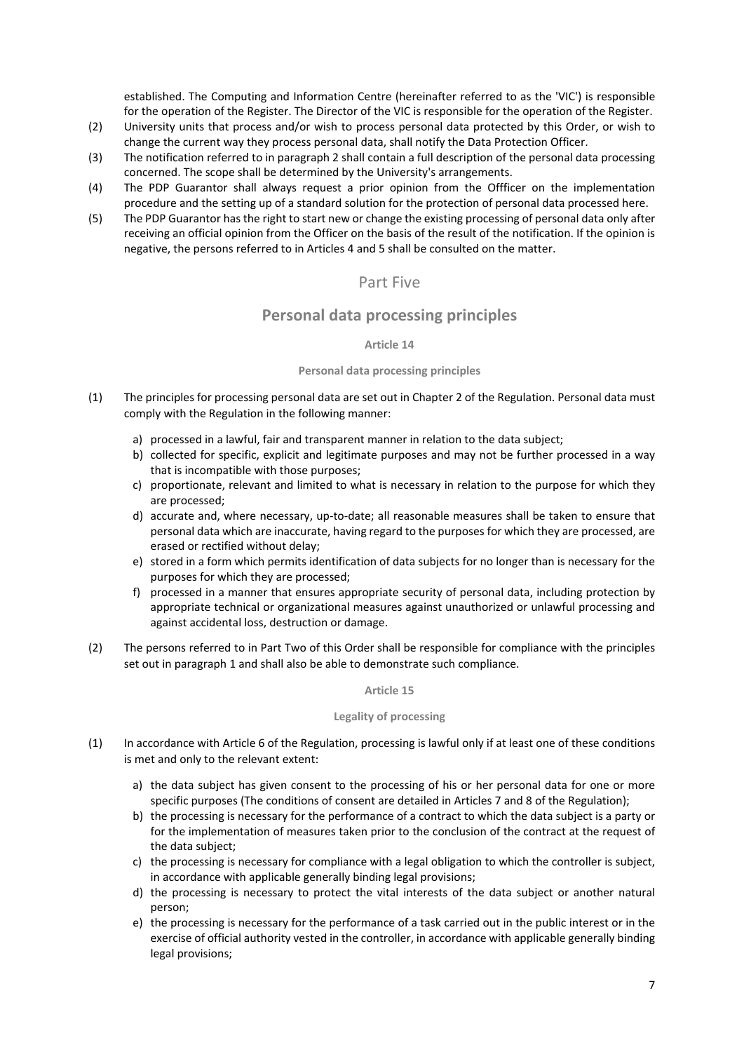established. The Computing and Information Centre (hereinafter referred to as the 'VIC') is responsible for the operation of the Register. The Director of the VIC is responsible for the operation of the Register.

- (2) University units that process and/or wish to process personal data protected by this Order, or wish to change the current way they process personal data, shall notify the Data Protection Officer.
- (3) The notification referred to in paragraph 2 shall contain a full description of the personal data processing concerned. The scope shall be determined by the University's arrangements.
- (4) The PDP Guarantor shall always request a prior opinion from the Offficer on the implementation procedure and the setting up of a standard solution for the protection of personal data processed here.
- (5) The PDP Guarantor has the right to start new or change the existing processing of personal data only after receiving an official opinion from the Officer on the basis of the result of the notification. If the opinion is negative, the persons referred to in Articles 4 and 5 shall be consulted on the matter.

### Part Five

## **Personal data processing principles**

### **Article 14**

### **Personal data processing principles**

- (1) The principles for processing personal data are set out in Chapter 2 of the Regulation. Personal data must comply with the Regulation in the following manner:
	- a) processed in a lawful, fair and transparent manner in relation to the data subject;
	- b) collected for specific, explicit and legitimate purposes and may not be further processed in a way that is incompatible with those purposes;
	- c) proportionate, relevant and limited to what is necessary in relation to the purpose for which they are processed;
	- d) accurate and, where necessary, up‐to‐date; all reasonable measures shall be taken to ensure that personal data which are inaccurate, having regard to the purposes for which they are processed, are erased or rectified without delay;
	- e) stored in a form which permits identification of data subjects for no longer than is necessary for the purposes for which they are processed;
	- f) processed in a manner that ensures appropriate security of personal data, including protection by appropriate technical or organizational measures against unauthorized or unlawful processing and against accidental loss, destruction or damage.
- (2) The persons referred to in Part Two of this Order shall be responsible for compliance with the principles set out in paragraph 1 and shall also be able to demonstrate such compliance.

### **Article 15**

### **Legality of processing**

- (1) In accordance with Article 6 of the Regulation, processing is lawful only if at least one of these conditions is met and only to the relevant extent:
	- a) the data subject has given consent to the processing of his or her personal data for one or more specific purposes (The conditions of consent are detailed in Articles 7 and 8 of the Regulation);
	- b) the processing is necessary for the performance of a contract to which the data subject is a party or for the implementation of measures taken prior to the conclusion of the contract at the request of the data subject;
	- c) the processing is necessary for compliance with a legal obligation to which the controller is subject, in accordance with applicable generally binding legal provisions;
	- d) the processing is necessary to protect the vital interests of the data subject or another natural person;
	- e) the processing is necessary for the performance of a task carried out in the public interest or in the exercise of official authority vested in the controller, in accordance with applicable generally binding legal provisions;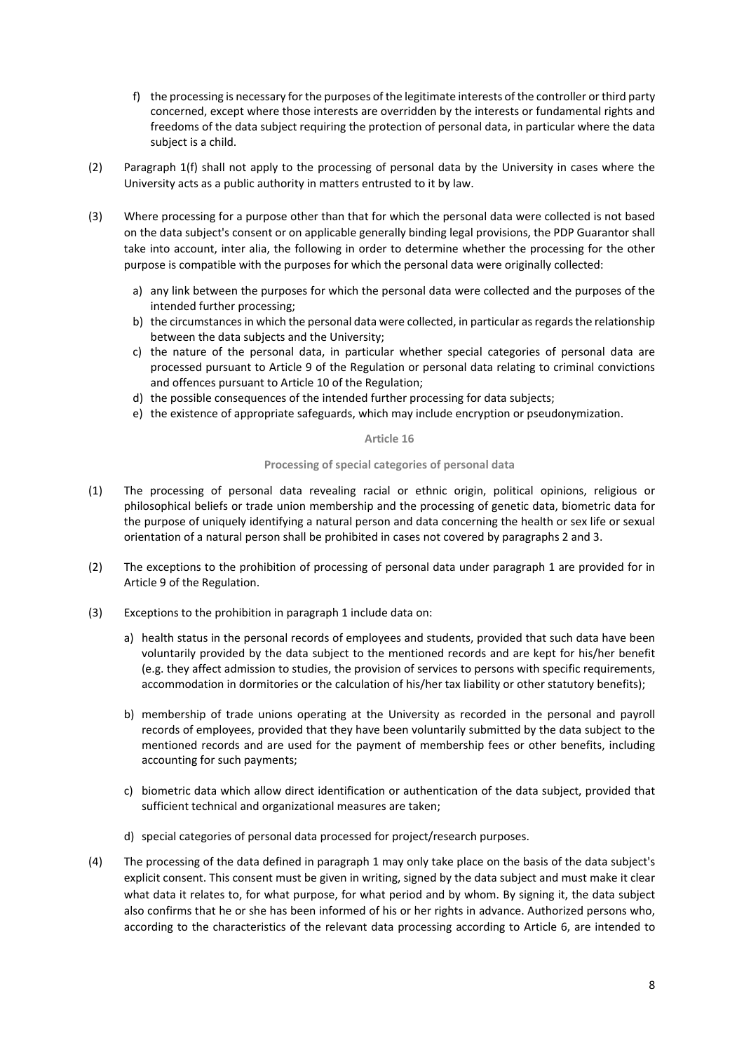- f) the processing is necessary for the purposes of the legitimate interests of the controller or third party concerned, except where those interests are overridden by the interests or fundamental rights and freedoms of the data subject requiring the protection of personal data, in particular where the data subject is a child.
- (2) Paragraph 1(f) shall not apply to the processing of personal data by the University in cases where the University acts as a public authority in matters entrusted to it by law.
- (3) Where processing for a purpose other than that for which the personal data were collected is not based on the data subject's consent or on applicable generally binding legal provisions, the PDP Guarantor shall take into account, inter alia, the following in order to determine whether the processing for the other purpose is compatible with the purposes for which the personal data were originally collected:
	- a) any link between the purposes for which the personal data were collected and the purposes of the intended further processing;
	- b) the circumstances in which the personal data were collected, in particular as regards the relationship between the data subjects and the University;
	- c) the nature of the personal data, in particular whether special categories of personal data are processed pursuant to Article 9 of the Regulation or personal data relating to criminal convictions and offences pursuant to Article 10 of the Regulation;
	- d) the possible consequences of the intended further processing for data subjects;
	- e) the existence of appropriate safeguards, which may include encryption or pseudonymization.

**Article 16** 

### **Processing of special categories of personal data**

- (1) The processing of personal data revealing racial or ethnic origin, political opinions, religious or philosophical beliefs or trade union membership and the processing of genetic data, biometric data for the purpose of uniquely identifying a natural person and data concerning the health or sex life or sexual orientation of a natural person shall be prohibited in cases not covered by paragraphs 2 and 3.
- (2) The exceptions to the prohibition of processing of personal data under paragraph 1 are provided for in Article 9 of the Regulation.
- (3) Exceptions to the prohibition in paragraph 1 include data on:
	- a) health status in the personal records of employees and students, provided that such data have been voluntarily provided by the data subject to the mentioned records and are kept for his/her benefit (e.g. they affect admission to studies, the provision of services to persons with specific requirements, accommodation in dormitories or the calculation of his/her tax liability or other statutory benefits);
	- b) membership of trade unions operating at the University as recorded in the personal and payroll records of employees, provided that they have been voluntarily submitted by the data subject to the mentioned records and are used for the payment of membership fees or other benefits, including accounting for such payments;
	- c) biometric data which allow direct identification or authentication of the data subject, provided that sufficient technical and organizational measures are taken;
	- d) special categories of personal data processed for project/research purposes.
- (4) The processing of the data defined in paragraph 1 may only take place on the basis of the data subject's explicit consent. This consent must be given in writing, signed by the data subject and must make it clear what data it relates to, for what purpose, for what period and by whom. By signing it, the data subject also confirms that he or she has been informed of his or her rights in advance. Authorized persons who, according to the characteristics of the relevant data processing according to Article 6, are intended to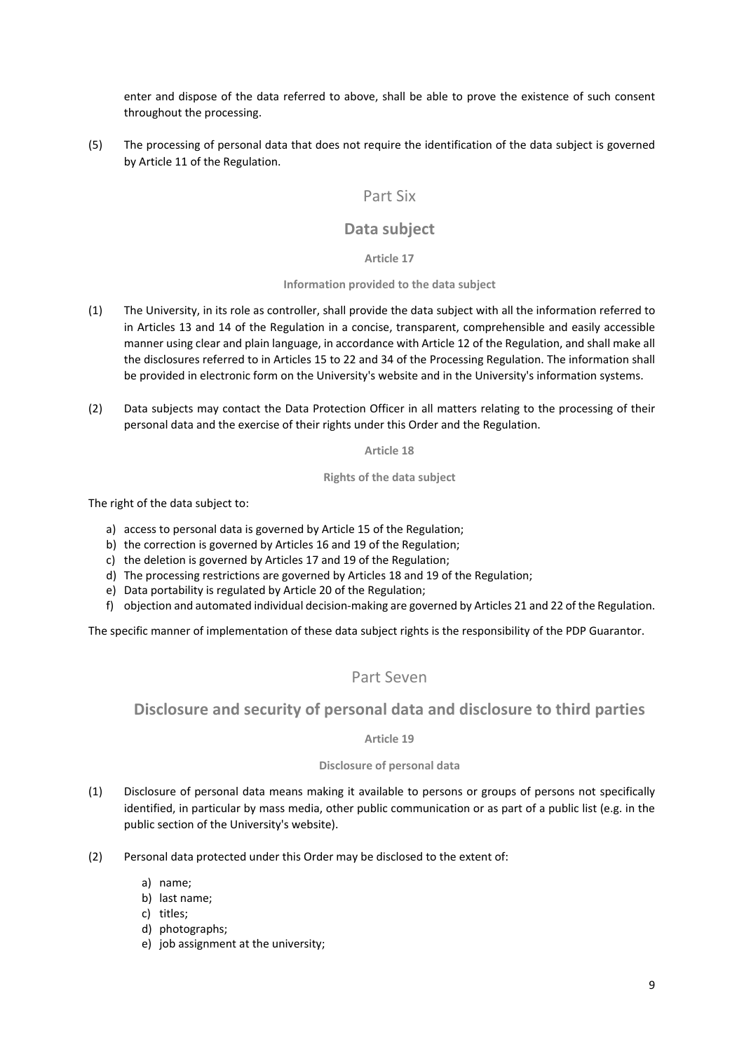enter and dispose of the data referred to above, shall be able to prove the existence of such consent throughout the processing.

(5) The processing of personal data that does not require the identification of the data subject is governed by Article 11 of the Regulation.

### Part Six

### **Data subject**

### **Article 17**

### **Information provided to the data subject**

- (1) The University, in its role as controller, shall provide the data subject with all the information referred to in Articles 13 and 14 of the Regulation in a concise, transparent, comprehensible and easily accessible manner using clear and plain language, in accordance with Article 12 of the Regulation, and shall make all the disclosures referred to in Articles 15 to 22 and 34 of the Processing Regulation. The information shall be provided in electronic form on the University's website and in the University's information systems.
- (2) Data subjects may contact the Data Protection Officer in all matters relating to the processing of their personal data and the exercise of their rights under this Order and the Regulation.

### **Article 18**

### **Rights of the data subject**

The right of the data subject to:

- a) access to personal data is governed by Article 15 of the Regulation;
- b) the correction is governed by Articles 16 and 19 of the Regulation;
- c) the deletion is governed by Articles 17 and 19 of the Regulation;
- d) The processing restrictions are governed by Articles 18 and 19 of the Regulation;
- e) Data portability is regulated by Article 20 of the Regulation;
- f) objection and automated individual decision-making are governed by Articles 21 and 22 of the Regulation.

The specific manner of implementation of these data subject rights is the responsibility of the PDP Guarantor.

# Part Seven

### **Disclosure and security of personal data and disclosure to third parties**

### **Article 19**

### **Disclosure of personal data**

- (1) Disclosure of personal data means making it available to persons or groups of persons not specifically identified, in particular by mass media, other public communication or as part of a public list (e.g. in the public section of the University's website).
- (2) Personal data protected under this Order may be disclosed to the extent of:
	- a) name;
	- b) last name;
	- c) titles;
	- d) photographs;
	- e) job assignment at the university;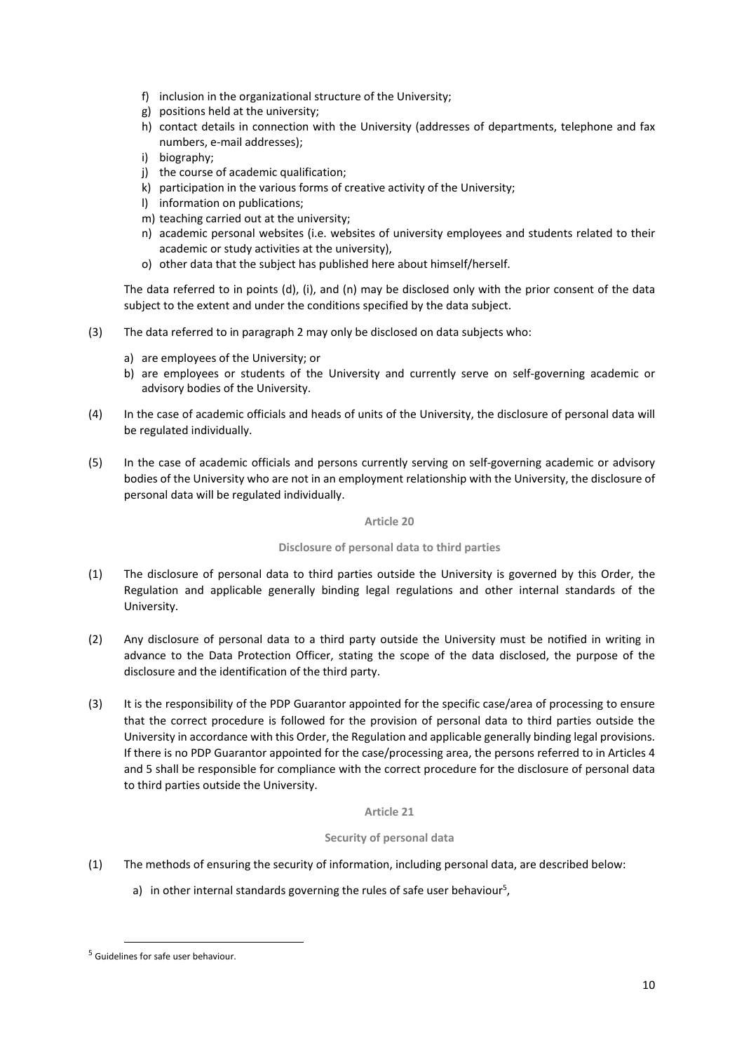- f) inclusion in the organizational structure of the University;
- g) positions held at the university;
- h) contact details in connection with the University (addresses of departments, telephone and fax numbers, e‐mail addresses);
- i) biography;
- j) the course of academic qualification;
- k) participation in the various forms of creative activity of the University;
- l) information on publications;
- m) teaching carried out at the university;
- n) academic personal websites (i.e. websites of university employees and students related to their academic or study activities at the university),
- o) other data that the subject has published here about himself/herself.

The data referred to in points (d), (i), and (n) may be disclosed only with the prior consent of the data subject to the extent and under the conditions specified by the data subject.

- (3) The data referred to in paragraph 2 may only be disclosed on data subjects who:
	- a) are employees of the University; or
	- b) are employees or students of the University and currently serve on self-governing academic or advisory bodies of the University.
- (4) In the case of academic officials and heads of units of the University, the disclosure of personal data will be regulated individually.
- (5) In the case of academic officials and persons currently serving on self‐governing academic or advisory bodies of the University who are not in an employment relationship with the University, the disclosure of personal data will be regulated individually.

### **Article 20**

### **Disclosure of personal data to third parties**

- (1) The disclosure of personal data to third parties outside the University is governed by this Order, the Regulation and applicable generally binding legal regulations and other internal standards of the University.
- (2) Any disclosure of personal data to a third party outside the University must be notified in writing in advance to the Data Protection Officer, stating the scope of the data disclosed, the purpose of the disclosure and the identification of the third party.
- (3) It is the responsibility of the PDP Guarantor appointed for the specific case/area of processing to ensure that the correct procedure is followed for the provision of personal data to third parties outside the University in accordance with this Order, the Regulation and applicable generally binding legal provisions. If there is no PDP Guarantor appointed for the case/processing area, the persons referred to in Articles 4 and 5 shall be responsible for compliance with the correct procedure for the disclosure of personal data to third parties outside the University.

### **Article 21**

### **Security of personal data**

- (1) The methods of ensuring the security of information, including personal data, are described below:
	- a) in other internal standards governing the rules of safe user behaviour<sup>5</sup>,

<u> 1989 - Jan James Alexandri, politik američki politik († 1908)</u>

<sup>5</sup> Guidelines for safe user behaviour.